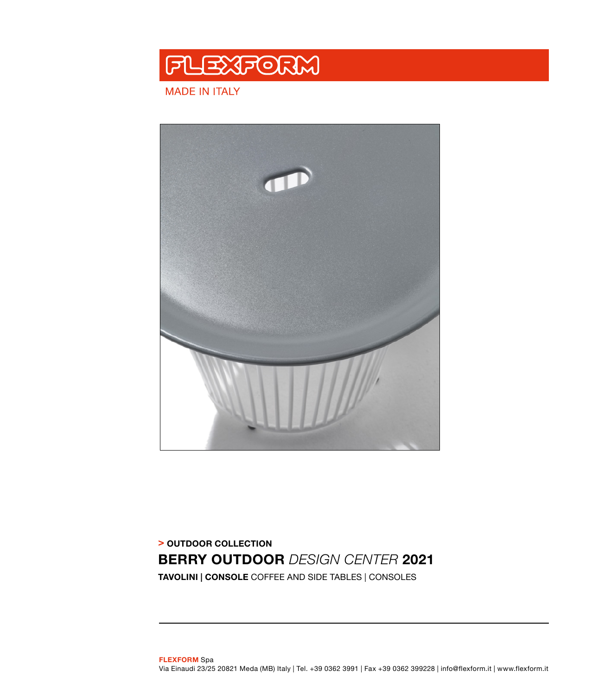FLEXFORM

**MADE IN ITALY** 



# **BERRY OUTDOOR** *DESIGN CENTER* **2021 > OUTDOOR COLLECTION**

**TAVOLINI | CONSOLE** COFFEE AND SIDE TABLES | CONSOLES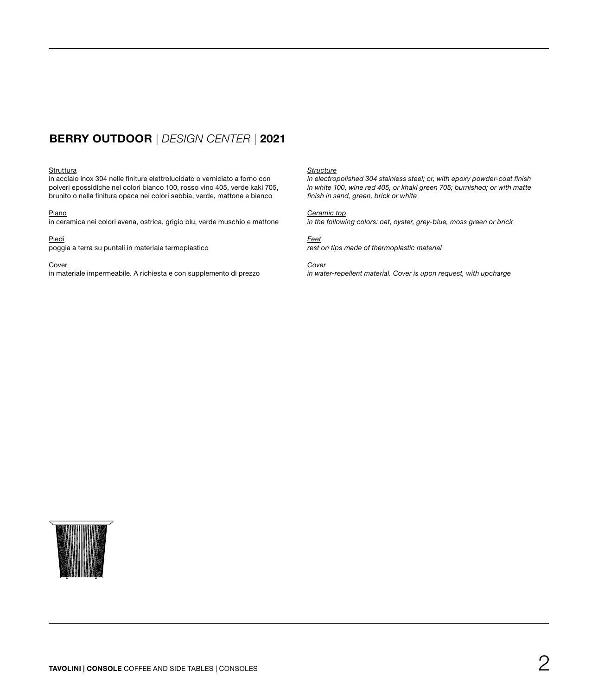### **BERRY OUTDOOR** *| DESIGN CENTER |* **2021**

#### **Struttura**

in acciaio inox 304 nelle finiture elettrolucidato o verniciato a forno con polveri epossidiche nei colori bianco 100, rosso vino 405, verde kaki 705, brunito o nella finitura opaca nei colori sabbia, verde, mattone e bianco

### Piano

in ceramica nei colori avena, ostrica, grigio blu, verde muschio e mattone

### Piedi

poggia a terra su puntali in materiale termoplastico

**Cover** 

in materiale impermeabile. A richiesta e con supplemento di prezzo

#### *Structure*

*Ceramic top*

*in electropolished 304 stainless steel; or, with epoxy powder-coat finish in white 100, wine red 405, or khaki green 705; burnished; or with matte finish in sand, green, brick or white*

*in the following colors: oat, oyster, grey-blue, moss green or brick*

*Feet rest on tips made of thermoplastic material*

*Cover*

*in water-repellent material. Cover is upon request, with upcharge*

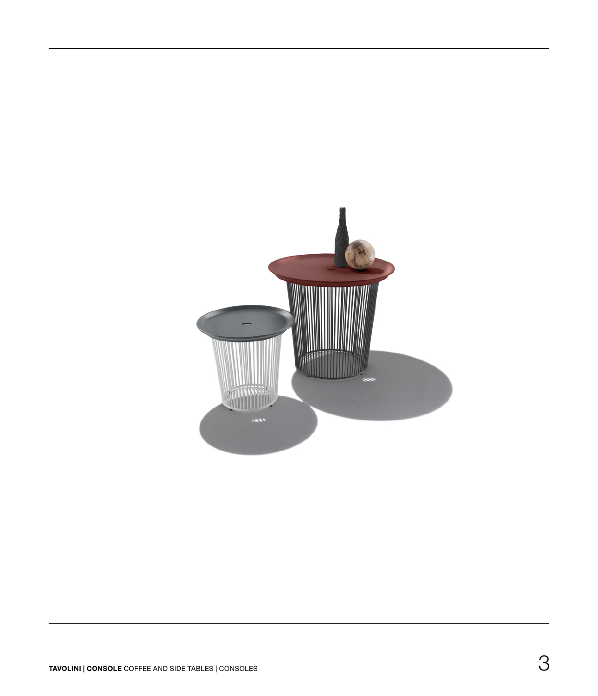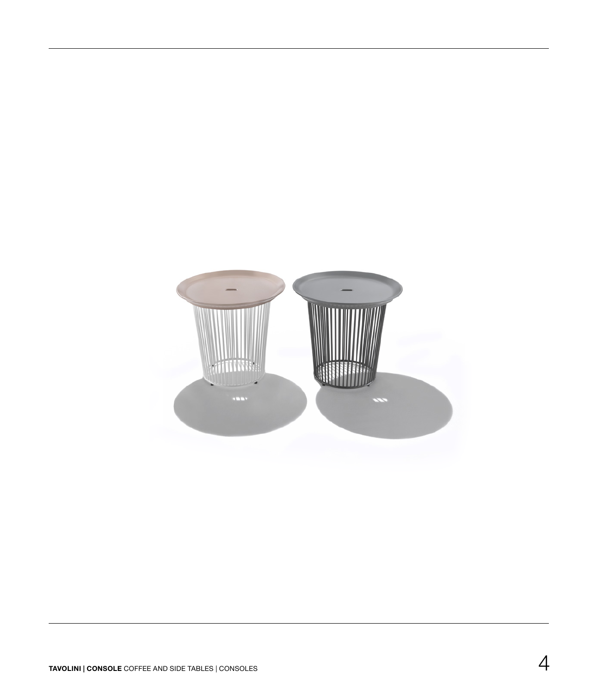